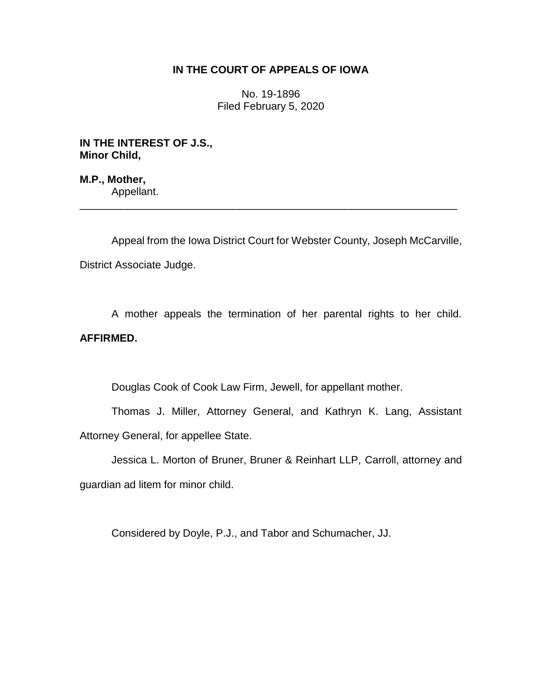## **IN THE COURT OF APPEALS OF IOWA**

No. 19-1896 Filed February 5, 2020

**IN THE INTEREST OF J.S., Minor Child,**

**M.P., Mother,** Appellant.

Appeal from the Iowa District Court for Webster County, Joseph McCarville, District Associate Judge.

\_\_\_\_\_\_\_\_\_\_\_\_\_\_\_\_\_\_\_\_\_\_\_\_\_\_\_\_\_\_\_\_\_\_\_\_\_\_\_\_\_\_\_\_\_\_\_\_\_\_\_\_\_\_\_\_\_\_\_\_\_\_\_\_

A mother appeals the termination of her parental rights to her child. **AFFIRMED.**

Douglas Cook of Cook Law Firm, Jewell, for appellant mother.

Thomas J. Miller, Attorney General, and Kathryn K. Lang, Assistant Attorney General, for appellee State.

Jessica L. Morton of Bruner, Bruner & Reinhart LLP, Carroll, attorney and guardian ad litem for minor child.

Considered by Doyle, P.J., and Tabor and Schumacher, JJ.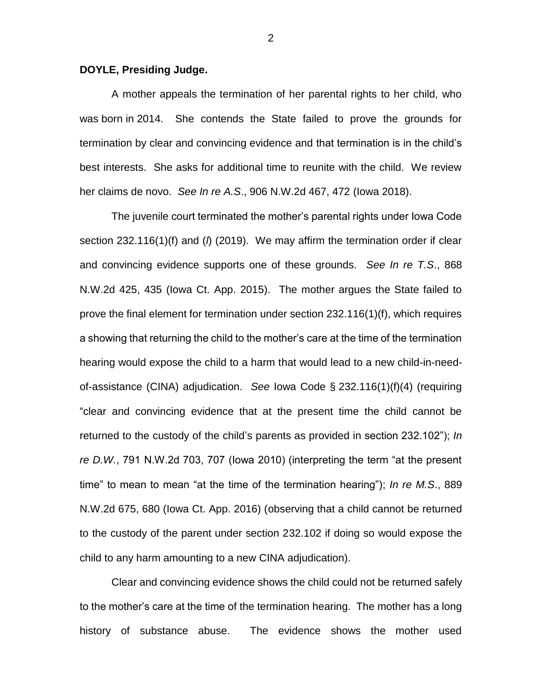## **DOYLE, Presiding Judge.**

A mother appeals the termination of her parental rights to her child, who was born in 2014. She contends the State failed to prove the grounds for termination by clear and convincing evidence and that termination is in the child's best interests. She asks for additional time to reunite with the child. We review her claims de novo. *See In re A.S*., 906 N.W.2d 467, 472 (Iowa 2018).

The juvenile court terminated the mother's parental rights under Iowa Code section 232.116(1)(f) and (*l*) (2019). We may affirm the termination order if clear and convincing evidence supports one of these grounds. *See In re T.S*., 868 N.W.2d 425, 435 (Iowa Ct. App. 2015). The mother argues the State failed to prove the final element for termination under section 232.116(1)(f), which requires a showing that returning the child to the mother's care at the time of the termination hearing would expose the child to a harm that would lead to a new child-in-needof-assistance (CINA) adjudication. *See* Iowa Code § 232.116(1)(f)(4) (requiring "clear and convincing evidence that at the present time the child cannot be returned to the custody of the child's parents as provided in section 232.102"); *In re D.W.*, 791 N.W.2d 703, 707 (Iowa 2010) (interpreting the term "at the present time" to mean to mean "at the time of the termination hearing"); *In re M.S*., 889 N.W.2d 675, 680 (Iowa Ct. App. 2016) (observing that a child cannot be returned to the custody of the parent under section 232.102 if doing so would expose the child to any harm amounting to a new CINA adjudication).

Clear and convincing evidence shows the child could not be returned safely to the mother's care at the time of the termination hearing. The mother has a long history of substance abuse. The evidence shows the mother used

2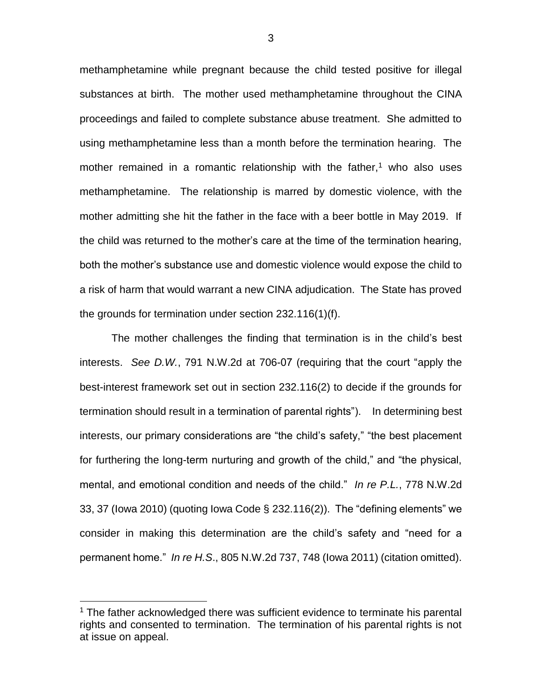methamphetamine while pregnant because the child tested positive for illegal substances at birth. The mother used methamphetamine throughout the CINA proceedings and failed to complete substance abuse treatment. She admitted to using methamphetamine less than a month before the termination hearing. The mother remained in a romantic relationship with the father, $<sup>1</sup>$  who also uses</sup> methamphetamine. The relationship is marred by domestic violence, with the mother admitting she hit the father in the face with a beer bottle in May 2019. If the child was returned to the mother's care at the time of the termination hearing, both the mother's substance use and domestic violence would expose the child to a risk of harm that would warrant a new CINA adjudication. The State has proved the grounds for termination under section 232.116(1)(f).

The mother challenges the finding that termination is in the child's best interests. *See D.W.*, 791 N.W.2d at 706-07 (requiring that the court "apply the best-interest framework set out in section 232.116(2) to decide if the grounds for termination should result in a termination of parental rights"). In determining best interests, our primary considerations are "the child's safety," "the best placement for furthering the long-term nurturing and growth of the child," and "the physical, mental, and emotional condition and needs of the child." *In re P.L.*, 778 N.W.2d 33, 37 (Iowa 2010) (quoting Iowa Code § 232.116(2)). The "defining elements" we consider in making this determination are the child's safety and "need for a permanent home." *In re H.S*., 805 N.W.2d 737, 748 (Iowa 2011) (citation omitted).

 $\overline{a}$ 

 $1$  The father acknowledged there was sufficient evidence to terminate his parental rights and consented to termination. The termination of his parental rights is not at issue on appeal.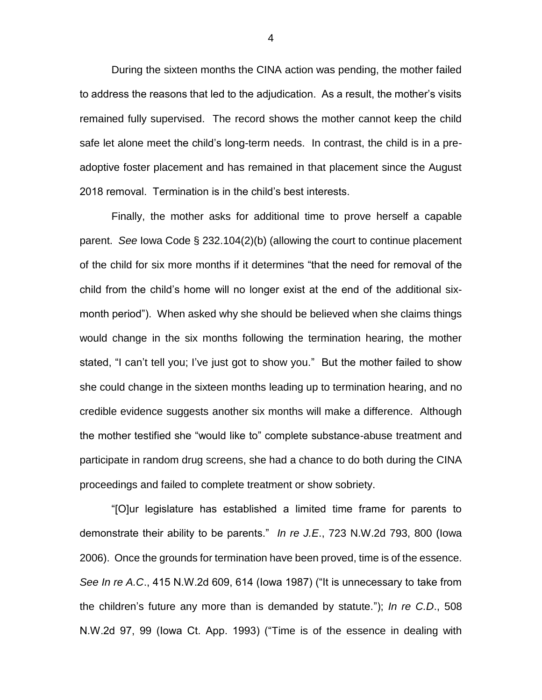During the sixteen months the CINA action was pending, the mother failed to address the reasons that led to the adjudication. As a result, the mother's visits remained fully supervised. The record shows the mother cannot keep the child safe let alone meet the child's long-term needs. In contrast, the child is in a preadoptive foster placement and has remained in that placement since the August 2018 removal. Termination is in the child's best interests.

Finally, the mother asks for additional time to prove herself a capable parent. *See* Iowa Code § 232.104(2)(b) (allowing the court to continue placement of the child for six more months if it determines "that the need for removal of the child from the child's home will no longer exist at the end of the additional sixmonth period"). When asked why she should be believed when she claims things would change in the six months following the termination hearing, the mother stated, "I can't tell you; I've just got to show you." But the mother failed to show she could change in the sixteen months leading up to termination hearing, and no credible evidence suggests another six months will make a difference. Although the mother testified she "would like to" complete substance-abuse treatment and participate in random drug screens, she had a chance to do both during the CINA proceedings and failed to complete treatment or show sobriety.

"[O]ur legislature has established a limited time frame for parents to demonstrate their ability to be parents." *In re J.E*., 723 N.W.2d 793, 800 (Iowa 2006). Once the grounds for termination have been proved, time is of the essence. *See In re A.C*., 415 N.W.2d 609, 614 (Iowa 1987) ("It is unnecessary to take from the children's future any more than is demanded by statute."); *In re C.D*., 508 N.W.2d 97, 99 (Iowa Ct. App. 1993) ("Time is of the essence in dealing with

4